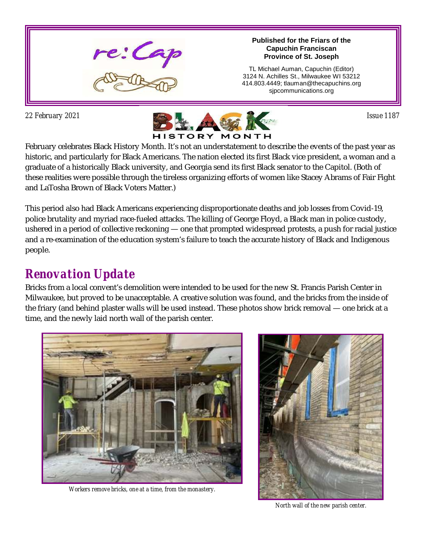

#### **Published for the Friars of the Capuchin Franciscan Province of St. Joseph**

TL Michael Auman, Capuchin (Editor) 3124 N. Achilles St., Milwaukee WI 53212 414.803.4449; tlauman@thecapuchins.org sjpcommunications.org



February celebrates Black History Month. It's not an understatement to describe the events of the past year as historic, and particularly for Black Americans. The nation elected its first Black vice president, a woman and a graduate of a historically Black university, and Georgia send its first Black senator to the Capitol. (Both of these realities were possible through the tireless organizing efforts of women like Stacey Abrams of Fair Fight and LaTosha Brown of Black Voters Matter.)

This period also had Black Americans experiencing disproportionate deaths and job losses from Covid-19, police brutality and myriad race-fueled attacks. The killing of George Floyd, a Black man in police custody, ushered in a period of collective reckoning — one that prompted widespread protests, a push for racial justice and a re-examination of the education system's failure to teach the accurate history of Black and Indigenous people.

## *Renovation Update*

Bricks from a local convent's demolition were intended to be used for the new St. Francis Parish Center in Milwaukee, but proved to be unacceptable. A creative solution was found, and the bricks from the inside of the friary (and behind plaster walls will be used instead. These photos show brick removal — one brick at a time, and the newly laid north wall of the parish center.



*Workers remove bricks, one at a time, from the monastery.*



*North wall of the new parish center.*